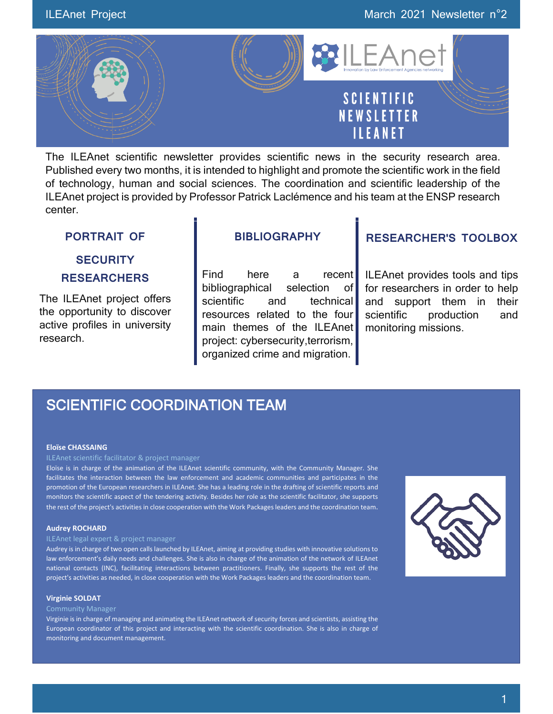

The ILEAnet scientific newsletter provides scientific news in the security research area. Published every two months, it is intended to highlight and promote the scientific work in the field of technology, human and social sciences. The coordination and scientific leadership of the ILEAnet project is provided by Professor Patrick Laclémence and his team at the ENSP research center.

### **PORTRAIT OF**

# **SECURITY RESEARCHERS**

The ILEAnet project offers the opportunity to discover active profiles in university research.

### **BIBLIOGRAPHY**

Find here a recent bibliographical selection of scientific and technical resources related to the four main themes of the ILEAnet project: cybersecurity,terrorism, organized crime and migration.

# **RESEARCHER'S TOOLBOX**

ILEAnet provides tools and tips for researchers in order to help and support them in their scientific production and monitoring missions.

# SCIENTIFIC COORDINATION TEAM

#### **Eloïse CHASSAING**

#### ILEAnet scientific facilitator & project manager

Eloïse is in charge of the animation of the ILEAnet scientific community, with the Community Manager. She facilitates the interaction between the law enforcement and academic communities and participates in the promotion of the European researchers in ILEAnet. She has a leading role in the drafting of scientific reports and monitors the scientific aspect of the tendering activity. Besides her role as the scientific facilitator, she supports the rest of the project's activities in close cooperation with the Work Packages leaders and the coordination team.

#### **Audrey ROCHARD**

#### ILEAnet legal expert & project manager

Audrey is in charge of two open calls launched by ILEAnet, aiming at providing studies with innovative solutions to law enforcement's daily needs and challenges. She is also in charge of the animation of the network of ILEAnet national contacts (INC), facilitating interactions between practitioners. Finally, she supports the rest of the project's activities as needed, in close cooperation with the Work Packages leaders and the coordination team.

#### **Virginie SOLDAT**

#### Community Manager

Virginie is in charge of managing and animating the ILEAnet network of security forces and scientists, assisting the European coordinator of this project and interacting with the scientific coordination. She is also in charge of monitoring and document management.

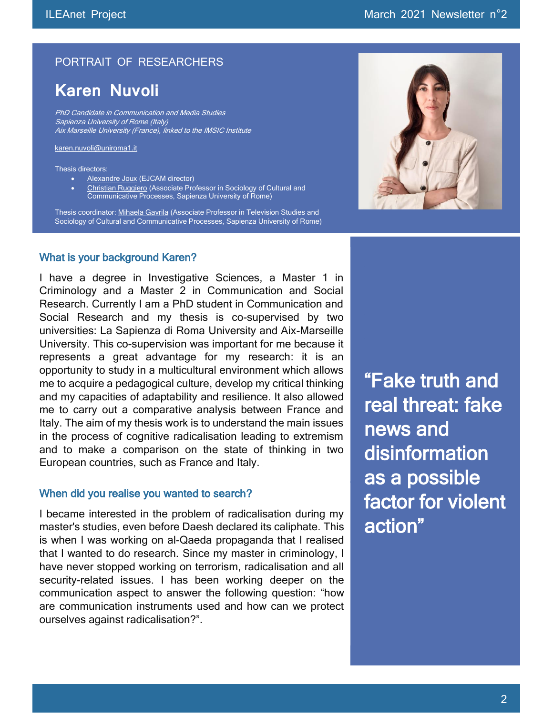# PORTRAIT OF RESEARCHERS

# **Karen Nuvoli**

PhD Candidate in Communication and Media Studies Sapienza University of Rome (Italy) Aix Marseille University (France), linked to th[e IMSIC Institute](https://www.imsic.fr/)

karen.nuvoli@uniroma1.it

#### Thesis directors:

- [Alexandre Joux](https://ejcam.univ-amu.fr/fr/alexandre-joux) (EJCAM director)
- [Christian Ruggiero](https://www.coris.uniroma1.it/users/christian-ruggiero) (Associate Professor in Sociology of Cultural and Communicative Processes, Sapienza University of Rome)

Thesis coordinator: [Mihaela Gavrila](https://www.coris.uniroma1.it/users/mihaela-gavrila) (Associate Professor in Television Studies and Sociology of Cultural and Communicative Processes, Sapienza University of Rome)



I have a degree in Investigative Sciences, a Master 1 in Criminology and a Master 2 in Communication and Social Research. Currently I am a PhD student in Communication and Social Research and my thesis is co-supervised by two universities: La Sapienza di Roma University and Aix-Marseille University. This co-supervision was important for me because it represents a great advantage for my research: it is an opportunity to study in a multicultural environment which allows me to acquire a pedagogical culture, develop my critical thinking and my capacities of adaptability and resilience. It also allowed me to carry out a comparative analysis between France and Italy. The aim of my thesis work is to understand the main issues in the process of cognitive radicalisation leading to extremism and to make a comparison on the state of thinking in two European countries, such as France and Italy.

### When did you realise you wanted to search?

I became interested in the problem of radicalisation during my master's studies, even before Daesh declared its caliphate. This is when I was working on al-Qaeda propaganda that I realised that I wanted to do research. Since my master in criminology, I have never stopped working on terrorism, radicalisation and all security-related issues. I has been working deeper on the communication aspect to answer the following question: "how are communication instruments used and how can we protect ourselves against radicalisation?".



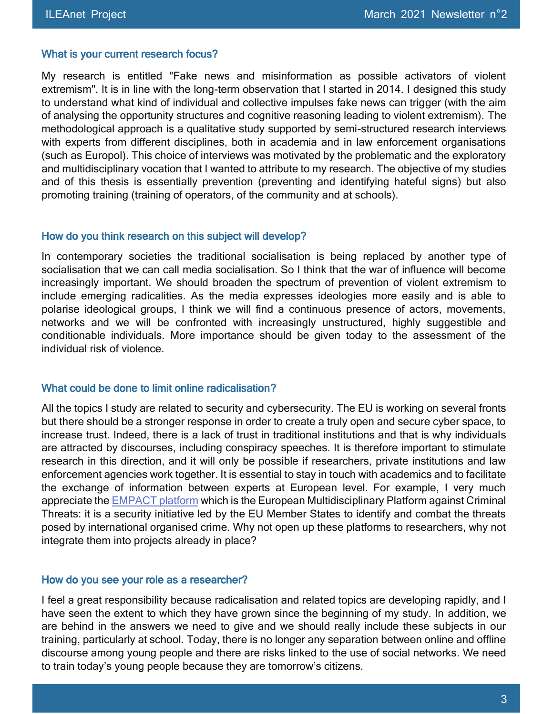### What is your current research focus?

My research is entitled "Fake news and misinformation as possible activators of violent extremism". It is in line with the long-term observation that I started in 2014. I designed this study to understand what kind of individual and collective impulses fake news can trigger (with the aim of analysing the opportunity structures and cognitive reasoning leading to violent extremism). The methodological approach is a qualitative study supported by semi-structured research interviews with experts from different disciplines, both in academia and in law enforcement organisations (such as Europol). This choice of interviews was motivated by the problematic and the exploratory and multidisciplinary vocation that I wanted to attribute to my research. The objective of my studies and of this thesis is essentially prevention (preventing and identifying hateful signs) but also promoting training (training of operators, of the community and at schools).

#### How do you think research on this subject will develop?

In contemporary societies the traditional socialisation is being replaced by another type of socialisation that we can call media socialisation. So I think that the war of influence will become increasingly important. We should broaden the spectrum of prevention of violent extremism to include emerging radicalities. As the media expresses ideologies more easily and is able to polarise ideological groups, I think we will find a continuous presence of actors, movements, networks and we will be confronted with increasingly unstructured, highly suggestible and conditionable individuals. More importance should be given today to the assessment of the individual risk of violence.

### What could be done to limit online radicalisation?

All the topics I study are related to security and cybersecurity. The EU is working on several fronts but there should be a stronger response in order to create a truly open and secure cyber space, to increase trust. Indeed, there is a lack of trust in traditional institutions and that is why individuals are attracted by discourses, including conspiracy speeches. It is therefore important to stimulate research in this direction, and it will only be possible if researchers, private institutions and law enforcement agencies work together. It is essential to stay in touch with academics and to facilitate the exchange of information between experts at European level. For example, I very much appreciate th[e EMPACT platform](https://www.europol.europa.eu/empact) which is the European Multidisciplinary Platform against Criminal Threats: it is a security initiative led by the EU Member States to identify and combat the threats posed by international organised crime. Why not open up these platforms to researchers, why not integrate them into projects already in place?

#### How do you see your role as a researcher?

I feel a great responsibility because radicalisation and related topics are developing rapidly, and I have seen the extent to which they have grown since the beginning of my study. In addition, we are behind in the answers we need to give and we should really include these subjects in our training, particularly at school. Today, there is no longer any separation between online and offline discourse among young people and there are risks linked to the use of social networks. We need to train today's young people because they are tomorrow's citizens.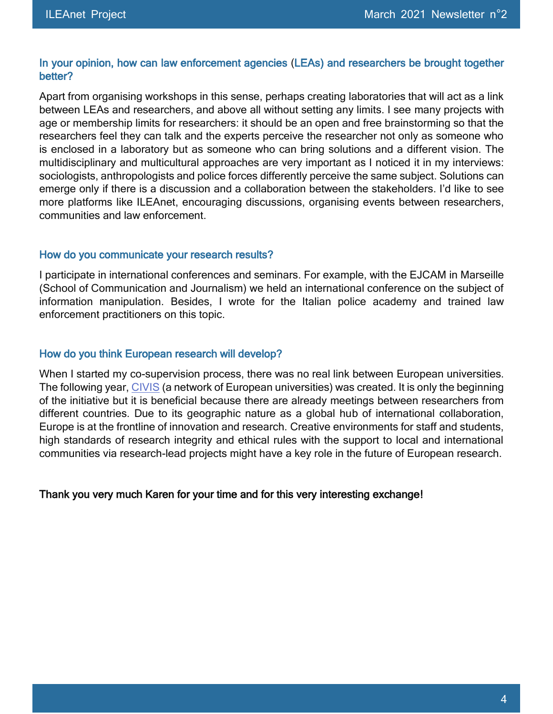# In your opinion, how can law enforcement agencies (LEAs) and researchers be brought together better?

Apart from organising workshops in this sense, perhaps creating laboratories that will act as a link between LEAs and researchers, and above all without setting any limits. I see many projects with age or membership limits for researchers: it should be an open and free brainstorming so that the researchers feel they can talk and the experts perceive the researcher not only as someone who is enclosed in a laboratory but as someone who can bring solutions and a different vision. The multidisciplinary and multicultural approaches are very important as I noticed it in my interviews: sociologists, anthropologists and police forces differently perceive the same subject. Solutions can emerge only if there is a discussion and a collaboration between the stakeholders. I'd like to see more platforms like ILEAnet, encouraging discussions, organising events between researchers, communities and law enforcement.

### How do you communicate your research results?

I participate in international conferences and seminars. For example, with the EJCAM in Marseille (School of Communication and Journalism) we held an international conference on the subject of information manipulation. Besides, I wrote for the Italian police academy and trained law enforcement practitioners on this topic.

### How do you think European research will develop?

When I started my co-supervision process, there was no real link between European universities. The following year, [CIVIS](https://civis.eu/en) (a network of European universities) was created. It is only the beginning of the initiative but it is beneficial because there are already meetings between researchers from different countries. Due to its geographic nature as a global hub of international collaboration, Europe is at the frontline of innovation and research. Creative environments for staff and students, high standards of research integrity and ethical rules with the support to local and international communities via research-lead projects might have a key role in the future of European research.

### Thank you very much Karen for your time and for this very interesting exchange!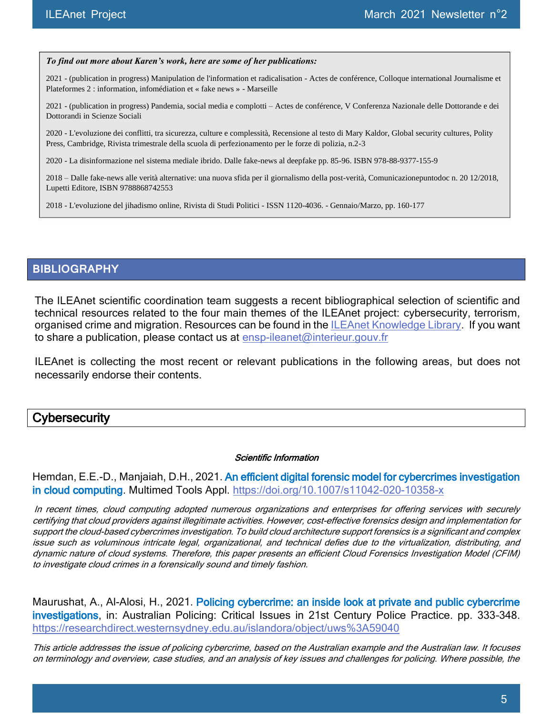#### *To find out more about Karen's work, here are some of her publications:*

2021 - (publication in progress) Manipulation de l'information et radicalisation - Actes de conférence, Colloque international Journalisme et Plateformes 2 : information, infomédiation et « fake news » - Marseille

2021 - (publication in progress) Pandemia, social media e complotti – Actes de conférence, V Conferenza Nazionale delle Dottorande e dei Dottorandi in Scienze Sociali

2020 - L'evoluzione dei conflitti, tra sicurezza, culture e complessità, Recensione al testo di Mary Kaldor, Global security cultures, Polity Press, Cambridge, Rivista trimestrale della scuola di perfezionamento per le forze di polizia, n.2-3

2020 - La disinformazione nel sistema mediale ibrido. Dalle fake-news al deepfake pp. 85-96. ISBN 978-88-9377-155-9

2018 – Dalle fake-news alle verità alternative: una nuova sfida per il giornalismo della post-verità, Comunicazionepuntodoc n. 20 12/2018, Lupetti Editore, ISBN 9788868742553

2018 - L'evoluzione del jihadismo online, Rivista di Studi Politici - ISSN 1120-4036. - Gennaio/Marzo, pp. 160-177

### **BIBLIOGRAPHY**

The ILEAnet scientific coordination team suggests a recent bibliographical selection of scientific and technical resources related to the four main themes of the ILEAnet project: cybersecurity, terrorism, organised crime and migration. Resources can be found in the [ILEAnet Knowledge Library.](https://ileanet.sym.place/groups/profile/109443/ileanet-knowledge-factory) If you want to share a publication, please contact us at [ensp-ileanet@interieur.gouv.fr](mailto:ensp-ileanet@interieur.gouv.fr)

ILEAnet is collecting the most recent or relevant publications in the following areas, but does not necessarily endorse their contents.

# Cybersecurity

#### Scientific Information

Hemdan, E.E.-D., Manjaiah, D.H., 2021. An efficient digital forensic model for cybercrimes investigation in cloud computing. Multimed Tools Appl.<https://doi.org/10.1007/s11042-020-10358-x>

 In recent times, cloud computing adopted numerous organizations and enterprises for offering services with securely certifying that cloud providers against illegitimate activities. However, cost-effective forensics design and implementation for support the cloud-based cybercrimes investigation. To build cloud architecture support forensics is a significant and complex issue such as voluminous intricate legal, organizational, and technical defies due to the virtualization, distributing, and dynamic nature of cloud systems. Therefore, this paper presents an efficient Cloud Forensics Investigation Model (CFIM) to investigate cloud crimes in a forensically sound and timely fashion.

Maurushat, A., Al-Alosi, H., 2021. Policing cybercrime: an inside look at private and public cybercrime investigations, in: Australian Policing: Critical Issues in 21st Century Police Practice. pp. 333–348. <https://researchdirect.westernsydney.edu.au/islandora/object/uws%3A59040>

This article addresses the issue of policing cybercrime, based on the Australian example and the Australian law. It focuses on terminology and overview, case studies, and an analysis of key issues and challenges for policing. Where possible, the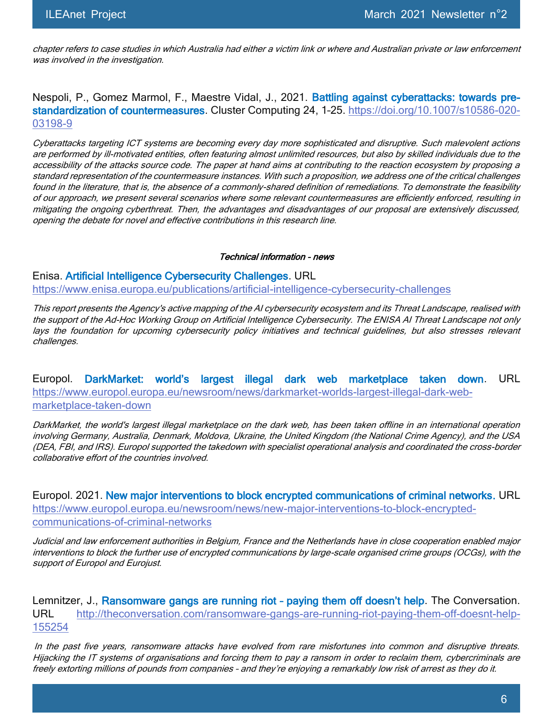chapter refers to case studies in which Australia had either a victim link or where and Australian private or law enforcement was involved in the investigation.

Nespoli, P., Gomez Marmol, F., Maestre Vidal, J., 2021. Battling against cyberattacks: towards prestandardization of countermeasures. Cluster Computing 24, 1–25. [https://doi.org/10.1007/s10586-020-](https://doi.org/10.1007/s10586-020-03198-9) [03198-9](https://doi.org/10.1007/s10586-020-03198-9)

Cyberattacks targeting ICT systems are becoming every day more sophisticated and disruptive. Such malevolent actions are performed by ill-motivated entities, often featuring almost unlimited resources, but also by skilled individuals due to the accessibility of the attacks source code. The paper at hand aims at contributing to the reaction ecosystem by proposing a standard representation of the countermeasure instances. With such a proposition, we address one of the critical challenges found in the literature, that is, the absence of a commonly-shared definition of remediations. To demonstrate the feasibility of our approach, we present several scenarios where some relevant countermeasures are efficiently enforced, resulting in mitigating the ongoing cyberthreat. Then, the advantages and disadvantages of our proposal are extensively discussed, opening the debate for novel and effective contributions in this research line.

#### Technical information - news

### Enisa. Artificial Intelligence Cybersecurity Challenges. URL

https://www.enisa.europa.eu/publications/artificial-intelligence-cybersecurity-challenges

This report presents the Agency's active mapping of the AI cybersecurity ecosystem and its Threat Landscape, realised with the support of the Ad-Hoc Working Group on Artificial Intelligence Cybersecurity. The ENISA AI Threat Landscape not only lays the foundation for upcoming cybersecurity policy initiatives and technical guidelines, but also stresses relevant challenges.

Europol. DarkMarket: world's largest illegal dark web marketplace taken down. URL [https://www.europol.europa.eu/newsroom/news/darkmarket-worlds-largest-illegal-dark-web](https://www.europol.europa.eu/newsroom/news/darkmarket-worlds-largest-illegal-dark-web-marketplace-taken-down)[marketplace-taken-down](https://www.europol.europa.eu/newsroom/news/darkmarket-worlds-largest-illegal-dark-web-marketplace-taken-down)

DarkMarket, the world's largest illegal marketplace on the dark web, has been taken offline in an international operation involving Germany, Australia, Denmark, Moldova, Ukraine, the United Kingdom (the National Crime Agency), and the USA (DEA, FBI, and IRS). Europol supported the takedown with specialist operational analysis and coordinated the cross-border collaborative effort of the countries involved.

Europol. 2021. New major interventions to block encrypted communications of criminal networks. URL [https://www.europol.europa.eu/newsroom/news/new-major-interventions-to-block-encrypted](https://www.europol.europa.eu/newsroom/news/new-major-interventions-to-block-encrypted-communications-of-criminal-networks)[communications-of-criminal-networks](https://www.europol.europa.eu/newsroom/news/new-major-interventions-to-block-encrypted-communications-of-criminal-networks)

Judicial and law enforcement authorities in Belgium, France and the Netherlands have in close cooperation enabled major interventions to block the further use of encrypted communications by large-scale organised crime groups (OCGs), with the support of Europol and Eurojust.

Lemnitzer, J., Ransomware gangs are running riot - paying them off doesn't help. The Conversation. URL [http://theconversation.com/ransomware-gangs-are-running-riot-paying-them-off-doesnt-help-](http://theconversation.com/ransomware-gangs-are-running-riot-paying-them-off-doesnt-help-155254)[155254](http://theconversation.com/ransomware-gangs-are-running-riot-paying-them-off-doesnt-help-155254)

 In the past five years, ransomware attacks have evolved from rare misfortunes into common and disruptive threats. Hijacking the IT systems of organisations and forcing them to pay a ransom in order to reclaim them, cybercriminals are freely extorting millions of pounds from companies – and they're enjoying a remarkably low risk of arrest as they do it.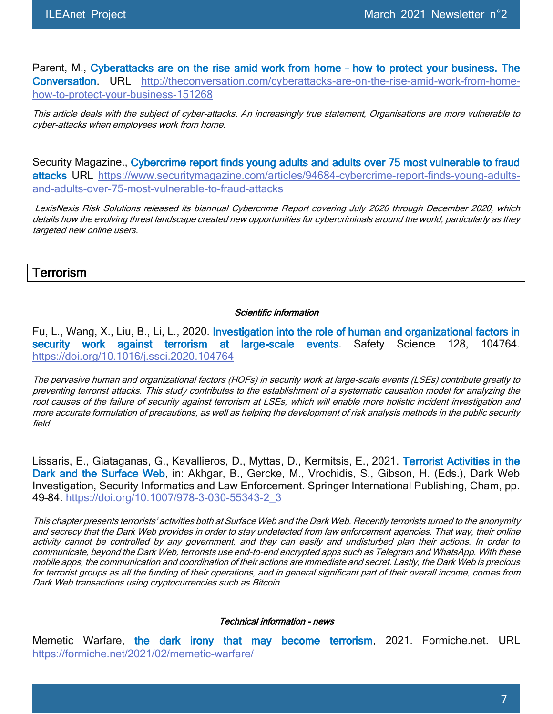Parent, M., Cyberattacks are on the rise amid work from home – how to protect your business. The Conversation. URL [http://theconversation.com/cyberattacks-are-on-the-rise-amid-work-from-home](http://theconversation.com/cyberattacks-are-on-the-rise-amid-work-from-home-how-to-protect-your-business-151268)[how-to-protect-your-business-151268](http://theconversation.com/cyberattacks-are-on-the-rise-amid-work-from-home-how-to-protect-your-business-151268)

This article deals with the subject of cyber-attacks. An increasingly true statement, Organisations are more vulnerable to cyber-attacks when employees work from home.

Security Magazine., Cybercrime report finds young adults and adults over 75 most vulnerable to fraud attacks URL [https://www.securitymagazine.com/articles/94684-cybercrime-report-finds-young-adults](https://www.securitymagazine.com/articles/94684-cybercrime-report-finds-young-adults-and-adults-over-75-most-vulnerable-to-fraud-attacks)[and-adults-over-75-most-vulnerable-to-fraud-attacks](https://www.securitymagazine.com/articles/94684-cybercrime-report-finds-young-adults-and-adults-over-75-most-vulnerable-to-fraud-attacks)

 LexisNexis Risk Solutions released its biannual Cybercrime Report covering July 2020 through December 2020, which details how the evolving threat landscape created new opportunities for cybercriminals around the world, particularly as they targeted new online users.

Terrorism

#### Scientific Information

Fu, L., Wang, X., Liu, B., Li, L., 2020. Investigation into the role of human and organizational factors in security work against terrorism at large-scale events. Safety Science 128, 104764. <https://doi.org/10.1016/j.ssci.2020.104764>

The pervasive human and organizational factors (HOFs) in security work at large-scale events (LSEs) contribute greatly to preventing terrorist attacks. This study contributes to the establishment of a systematic causation model for analyzing the root causes of the failure of security against terrorism at LSEs, which will enable more holistic incident investigation and more accurate formulation of precautions, as well as helping the development of risk analysis methods in the public security field.

Lissaris, E., Giataganas, G., Kavallieros, D., Myttas, D., Kermitsis, E., 2021. Terrorist Activities in the Dark and the Surface Web, in: Akhgar, B., Gercke, M., Vrochidis, S., Gibson, H. (Eds.), Dark Web Investigation, Security Informatics and Law Enforcement. Springer International Publishing, Cham, pp. 49–84. [https://doi.org/10.1007/978-3-030-55343-2\\_3](https://doi.org/10.1007/978-3-030-55343-2_3)

This chapter presents terrorists' activities both at Surface Web and the Dark Web. Recently terrorists turned to the anonymity and secrecy that the Dark Web provides in order to stay undetected from law enforcement agencies. That way, their online activity cannot be controlled by any government, and they can easily and undisturbed plan their actions. In order to communicate, beyond the Dark Web, terrorists use end-to-end encrypted apps such as Telegram and WhatsApp. With these mobile apps, the communication and coordination of their actions are immediate and secret. Lastly, the Dark Web is precious for terrorist groups as all the funding of their operations, and in general significant part of their overall income, comes from Dark Web transactions using cryptocurrencies such as Bitcoin.

#### Technical information - news

Memetic Warfare, the dark irony that may become terrorism, 2021. Formiche.net. URL <https://formiche.net/2021/02/memetic-warfare/>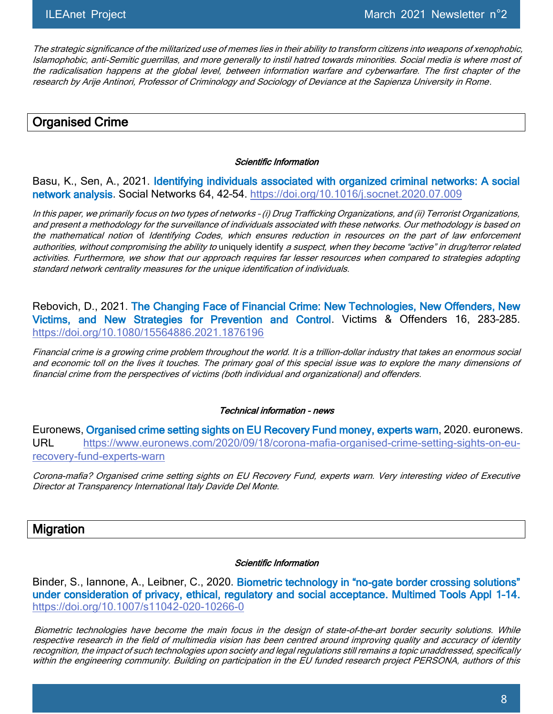The strategic significance of the militarized use of memes lies in their ability to transform citizens into weapons of xenophobic, Islamophobic, anti-Semitic guerrillas, and more generally to instil hatred towards minorities. Social media is where most of the radicalisation happens at the global level, between information warfare and cyberwarfare. The first chapter of the research by Arije Antinori, Professor of Criminology and Sociology of Deviance at the Sapienza University in Rome.

# Organised Crime

#### Scientific Information

Basu, K., Sen, A., 2021. Identifying individuals associated with organized criminal networks: A social network analysis. Social Networks 64, 42–54.<https://doi.org/10.1016/j.socnet.2020.07.009>

In this paper, we primarily focus on two types of networks – (i) Drug Trafficking Organizations, and (ii) Terrorist Organizations, and present a methodology for the surveillance of individuals associated with these networks. Our methodology is based on the mathematical notion of Identifying Codes, which ensures reduction in resources on the part of law enforcement authorities, without compromising the ability to uniquely identify a suspect, when they become "active" in drug/terror related activities. Furthermore, we show that our approach requires far lesser resources when compared to strategies adopting standard network centrality measures for the unique identification of individuals.

Rebovich, D., 2021. The Changing Face of Financial Crime: New Technologies, New Offenders, New Victims, and New Strategies for Prevention and Control. Victims & Offenders 16, 283–285. <https://doi.org/10.1080/15564886.2021.1876196>

Financial crime is a growing crime problem throughout the world. It is a trillion-dollar industry that takes an enormous social and economic toll on the lives it touches. The primary goal of this special issue was to explore the many dimensions of financial crime from the perspectives of victims (both individual and organizational) and offenders.

#### Technical information - news

Euronews, Organised crime setting sights on EU Recovery Fund money, experts warn, 2020. euronews. URL [https://www.euronews.com/2020/09/18/corona-mafia-organised-crime-setting-sights-on-eu](https://www.euronews.com/2020/09/18/corona-mafia-organised-crime-setting-sights-on-eu-recovery-fund-experts-warn)[recovery-fund-experts-warn](https://www.euronews.com/2020/09/18/corona-mafia-organised-crime-setting-sights-on-eu-recovery-fund-experts-warn)

Corona-mafia? Organised crime setting sights on EU Recovery Fund, experts warn. Very interesting video of Executive Director at Transparency International Italy Davide Del Monte.

# **Migration**

#### Scientific Information

Binder, S., Iannone, A., Leibner, C., 2020. Biometric technology in "no-gate border crossing solutions" under consideration of privacy, ethical, regulatory and social acceptance. Multimed Tools Appl 1–14. <https://doi.org/10.1007/s11042-020-10266-0>

 Biometric technologies have become the main focus in the design of state-of-the-art border security solutions. While respective research in the field of multimedia vision has been centred around improving quality and accuracy of identity recognition, the impact of such technologies upon society and legal regulations still remains a topic unaddressed, specifically within the engineering community. Building on participation in the EU funded research project PERSONA, authors of this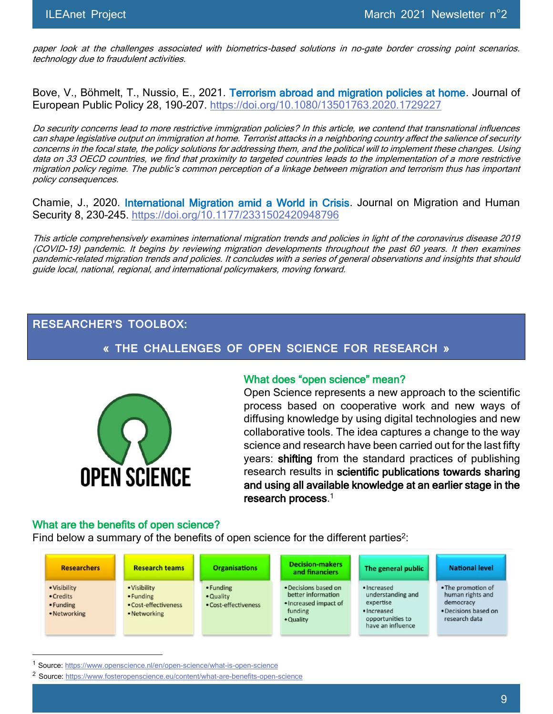paper look at the challenges associated with biometrics-based solutions in no-gate border crossing point scenarios. technology due to fraudulent activities.

Bove, V., Böhmelt, T., Nussio, E., 2021. Terrorism abroad and migration policies at home. Journal of European Public Policy 28, 190–207.<https://doi.org/10.1080/13501763.2020.1729227>

Do security concerns lead to more restrictive immigration policies? In this article, we contend that transnational influences can shape legislative output on immigration at home. Terrorist attacks in a neighboring country affect the salience of security concerns in the focal state, the policy solutions for addressing them, and the political will to implement these changes. Using data on 33 OECD countries, we find that proximity to targeted countries leads to the implementation of a more restrictive migration policy regime. The public's common perception of a linkage between migration and terrorism thus has important policy consequences.

Chamie, J., 2020. International Migration amid a World in Crisis. Journal on Migration and Human Security 8, 230–245.<https://doi.org/10.1177/2331502420948796>

This article comprehensively examines international migration trends and policies in light of the coronavirus disease 2019 (COVID-19) pandemic. It begins by reviewing migration developments throughout the past 60 years. It then examines pandemic-related migration trends and policies. It concludes with a series of general observations and insights that should guide local, national, regional, and international policymakers, moving forward.

# **RESEARCHER'S TOOLBOX:**

# **« THE CHALLENGES OF OPEN SCIENCE FOR RESEARCH »**



### What does "open science" mean?

Open Science represents a new approach to the scientific process based on cooperative work and new ways of diffusing knowledge by using digital technologies and new collaborative tools. The idea captures a change to the way science and research have been carried out for the last fifty years: shifting from the standard practices of publishing research results in scientific publications towards sharing and using all available knowledge at an earlier stage in the research process. 1

#### What are the benefits of open science?

Find below a summary of the benefits of open science for the different parties<sup>2</sup>:

| <b>Researchers</b>                                     | <b>Research teams</b>                                             | <b>Organisations</b>                           | <b>Decision-makers</b><br>and financiers                                                    | The general public                                                                                    | <b>National level</b>                                                                        |
|--------------------------------------------------------|-------------------------------------------------------------------|------------------------------------------------|---------------------------------------------------------------------------------------------|-------------------------------------------------------------------------------------------------------|----------------------------------------------------------------------------------------------|
| • Visibility<br>• Credits<br>• Funding<br>• Networking | • Visibility<br>• Funding<br>• Cost-effectiveness<br>• Networking | • Funding<br>• Quality<br>• Cost-effectiveness | . Decisions based on<br>better information<br>. Increased impact of<br>funding<br>• Quality | · Increased<br>understanding and<br>expertise<br>· Increased<br>opportunities to<br>have an influence | • The promotion of<br>human rights and<br>democracy<br>· Decisions based on<br>research data |

<sup>1</sup> Source:<https://www.openscience.nl/en/open-science/what-is-open-science>

<sup>2</sup> Source[: https://www.fosteropenscience.eu/content/what-are-benefits-open-science](https://www.fosteropenscience.eu/content/what-are-benefits-open-science)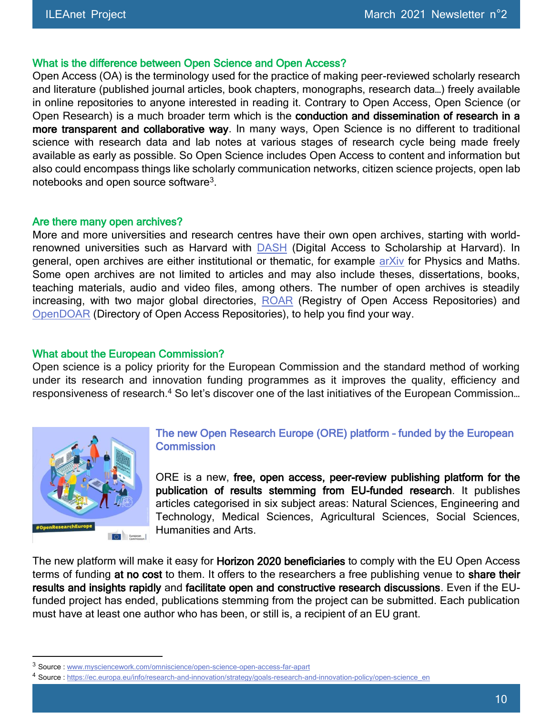### What is the difference between Open Science and Open Access?

Open Access (OA) is the terminology used for the practice of making peer-reviewed scholarly research and literature (published journal articles, book chapters, monographs, research data…) freely available in online repositories to anyone interested in reading it. Contrary to Open Access, Open Science (or Open Research) is a much broader term which is the conduction and dissemination of research in a more transparent and collaborative way. In many ways, Open Science is no different to traditional science with research data and lab notes at various stages of research cycle being made freely available as early as possible. So Open Science includes Open Access to content and information but also could encompass things like scholarly communication networks, citizen science projects, open lab notebooks and open source software<sup>3</sup>.

### Are there many open archives?

More and more universities and research centres have their own open archives, starting with world-renowned universities such as Harvard with [DASH](https://dash.harvard.edu/) (Digital Access to Scholarship at Harvard). In general, open archives are either institutional or thematic, for example [arXiv](https://arxiv.org/) for Physics and Maths. Some open archives are not limited to articles and may also include theses, dissertations, books, teaching materials, audio and video files, among others. The number of open archives is steadily increasing, with two major global directories, [ROAR](http://roar.eprints.org/) (Registry of Open Access Repositories) and [OpenDOAR](https://v2.sherpa.ac.uk/opendoar/) (Directory of Open Access Repositories), to help you find your way.

### What about the European Commission?

Open science is a policy priority for the European Commission and the standard method of working under its research and innovation funding programmes as it improves the quality, efficiency and responsiveness of research.<sup>4</sup> So let's discover one of the last initiatives of the European Commission...



### The new Open Research Europe (ORE) platform – funded by the European **Commission**

ORE is a new, free, open access, peer-review publishing platform for the publication of results stemming from EU-funded research. It publishes articles categorised in six subject areas: Natural Sciences, Engineering and Technology, Medical Sciences, Agricultural Sciences, Social Sciences, Humanities and Arts.

The new platform will make it easy for Horizon 2020 beneficiaries to comply with the EU Open Access terms of funding at no cost to them. It offers to the researchers a free publishing venue to share their results and insights rapidly and facilitate open and constructive research discussions. Even if the EUfunded project has ended, publications stemming from the project can be submitted. Each publication must have at least one author who has been, or still is, a recipient of an EU grant.

<sup>3</sup> Source [: www.mysciencework.com/omniscience/open-science-open-access-far-apart](http://www.mysciencework.com/omniscience/open-science-open-access-far-apart)

<sup>4</sup> Source [: https://ec.europa.eu/info/research-and-innovation/strategy/goals-research-and-innovation-policy/open-science\\_en](https://ec.europa.eu/info/research-and-innovation/strategy/goals-research-and-innovation-policy/open-science_en)